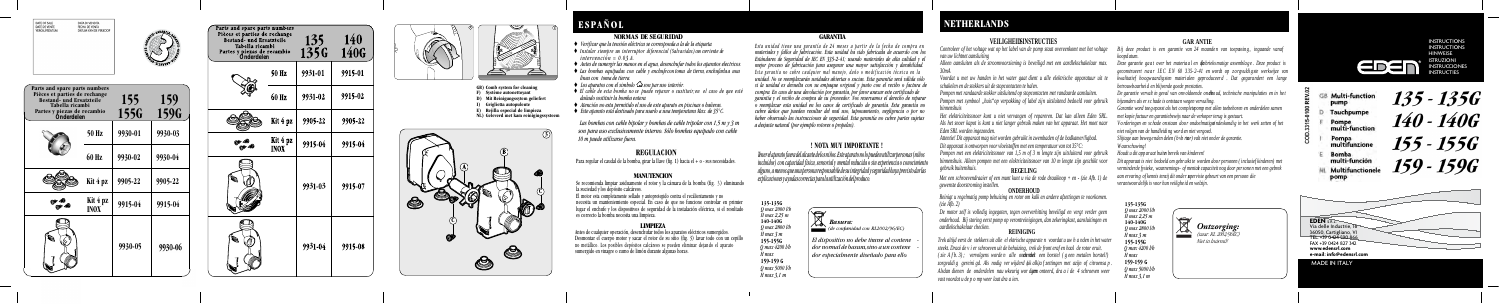

#### **NORMAS DE SEGURIDAD**

- ♦ *Verificar que la tensión eléctrica se corresponda a la de la etiqueta.*
- ♦ *Instalar siempre un interruptor diferencial (Salvavidas) con corriente de intervención = 0.03 A.*
- ♦ *Antes de sumergir las manos en el agua, desenchufar todos los aparatos electricos.*
- ♦ *Las bombas equipadas con cable y enchufe con toma de tierra, enchufarla a una linea con toma de tierra.*
- $\triangle$  *Los aparatos con el simbolo*  $\triangle$  *son par uso interiór.*
- ♦ *El cable de esta bomba no se puede reparar o sustituir; en el caso de que esté dañado sostituir la bomba entera.*
- ♦ *Atención no esta permitido el uso de este aparato en piscinas o bañeras.*
- ♦ *Este aparato está destinado para usarlo a una temperatura Max. de 35°C.*

# **ESPAÑOL**

### **VEILIGHEIDSINSTRUCTIES**

*van uw lichtnet aansluiting* 

*Alleen aansluiten als de stroomvoorziening is beveiligd met een aardlekschakelaar max. 30mA* 

*Voordat u met uw handen in het water gaat dient u alle elektrische apparatuur uit te schakelen en de stekkers uit de stopcontacten te halen.* 

*Pompen met randaarde stekker uitsluitend op stopcontacten met randaarde aansluiten. Pompen met symbool "huis"op verpakking of label zijn uitsluitend bedoeld voor gebruik binnenshuis* 

Controleer of het voltage wat op het label van de pomp staat overeenkomt met het voltage Bij deze product is een garantie van 24 maanden van toepassing, ingaande vanaf *koopd atum.* 

*Het elektriciteitssnoer kunt u niet vervangen of repareren. Dat kan alleen Eden SRL. Als het snoer kapot is kunt u niet langer gebruik maken van het apparaat. Het moet naar Eden SRL worden ingezonden.* 

*Attentie! Dit apparaat mag niet worden gebruikt in zwembaden of de badkamer/ligbad. Dit apparaat is ontworpen voor vloeistoffen met een temperatuur van tot 35°C:* 

De garantie vervalt in geval van onvoldoende on **dh**oud, technische ma nipulaties en in het *bijzonders als er s c hade is ontstaa n wegen vervuiling.* 

*Pompen met een elektriciteitssnoer van 1,5 m of 3 m lengte zijn uitsluitend voor gebruik binnenshuis. Alleen pompen met een elektriciteitssnoer van 10 m lengte zijn geschikt voor* 

### *gebruik buitenshuis.* **REGELING**

*Met een schroevendraaier of een munt kunt u via de rode draaiknop + en - (zie Afb. 1) de gewenste doorstroming instellen.* 

### **ONDERHOUD**

*Reinigt u regelmatig pomp behuizing en rotor om kalk en andere afzettingen te voorkomen. (zie Afb. 2)* 

*De motor zelf is volledig ingegoten, tegen oververhitting beveiligd en vergt verder geen onderhoud. Bij storing eerst pomp op verontreinigingen, dan zekeringkast, aansluitingen en aardlekschakelaar checken.* **REINIGING** 

Antes de cualquier operación, desenchufar todos los aparatos eléctricos sumergido Desmontar el cuerpo motor y sacar el rotor de su sitio (fig. 3) lavar todo con un cepillo no metállico. Los posibles depósitos calcáreos se pueden eliminar dejando el aparato sumergido en vinagre o zumo de limón durante algunas horas.

*Trek altijd eerst de stekkers uit alle el ektrische apparate n voordat u uw h a nden in het water steekt. Draai de v i er schroeven uit de behuizing, trek de front eraf en haal de rotor eruit. ( zie A f b. 3) ; vervolgens worde n alle onderdel en met een borstel ( g een metalen borstel!)*  zorgvuldi g gereini gd. Als nodig ver wijderd *luk alk)a f zettingen met azijn of citroensa p Alsdan dienen de onderdelen nau wkeurig wor d en gem onteerd, dra a i de 4 schroeven weer vast voordat u de p o mp weer laat dra a ien.* 

#### **GAR ANTIE**

*Deze garantie ga a t over het materia a l en de fa brieks matige assembla g e . Deze product is geconstrueert n a a r I E C E N 60 3 35- 2- 41 en wordt op z o rgvuldi g ste werkwijze van kwalitatief ho ogw aardig sten materi alen gepr oduceer d . Dat gegara ndert een l ange betrouwbaarheid en blijvende goede prestaties.* 

*Esta unidad tiene una garantía de 24 meses a partir de la fecha de compra e materiales y fallos de fabricación. Esta unidad ha sido fabricada de acuerdo con los Estándares de Seguridad de IEC EN 335-2-41; usando materiales de alta calidad y el mejor proceso de fabricación para asegurar una mayor satisfacción y durabilidad. E s t a g a r a n t í a n o c u b r e c u a l q u i e r m a l m a n e j o , d a ñ o o m o d i f i c a c i ó n t é c n i c a e n l a unidad. No se reemplazarán unidades abiertas o sucias. Esta garantía será válida sólo si la unidad es devuelta con su empaque original y junto con el recibo o factura d compra. En caso de una devolución por garantía, por favor anexar este certificado de garantía y el recibo de compra de su proveedor. Nos reservamos el derecho de reparar o reemplazar esta unidad en los casos de certificado de garantía. Esta garantía no cubre daños que pueden resultar del mal uso, taponamiento, negligencia o por no haber observado las instrucciones de seguridad. Esta garantía no cubre partes sujetas a desjaste natural (por ejemplo rotores o propelas).*

> MADE IN ITALY **e-mail: info@edensrl.com www.edensrl.com** FAX +39 0424 827 342 TEL. +39 0424 590 866 36050, Cartigliano, VI Via delle Industrie, 16 **EDEN** S.R.L.

# EDEN

*Garantie word toeg epasst als het co mplete pomp met allen toebehoren en onderdelen samen* 

**INSTRUCTIONS** INSTRUCTIONS HINWEISE ISTRUZIONI INSTRUCCIONES INSTRUCTIES

135 - 1356 140 - 140G 155 - 155G 159 - 159G

*met kopie factuur en garantiebewijs naar de verkoper terug is gestuurt.* 

*V o rderingen en schade on staan doo r ondoelmatige/ o ndeskondi g in het werk zetten of het* 

*niet volgen van de handleidi ng wor d en niet vergoed.* 

*Slijtage aan beweg enden delen (b vb rtor) valt niet ond er de garantie.* 

*Waarschuwing!* 

*Houdt u dit app ar aat buiten bereik van kinderen!* 

*Dit apparaat is niet bedoeld om gebr uikt te worden doo r personen ( i nclusief kinderen) met verminderde fysieke, waarnemings- of mentale capaciteit nog door per sone n met een gebrek aan ervarin g of kennis tenzij dit onde r supervisie gebeurt van een persoon die verantwoor delijk is voor hun veilighe id en welzijn.* 

| Parts and spare parts numbers<br>Pièces et parties de rechange<br><b>Bestand</b> und Ersatzteile<br>Tabella ricambi<br>Partes y piezas de recambio<br>Onderdelen |                         | 135<br>135G | 140<br><b>140G</b> |
|------------------------------------------------------------------------------------------------------------------------------------------------------------------|-------------------------|-------------|--------------------|
|                                                                                                                                                                  | 50 Hz                   | 9931-01     | 9915-01            |
|                                                                                                                                                                  | 60 Hz                   | 9931-02     | 9915-02            |
|                                                                                                                                                                  | Kit 4 pz                | 9905-22     | 9905-22            |
|                                                                                                                                                                  | Kit 4 pz<br><b>INOX</b> | 9915-04     | 9915-04            |
|                                                                                                                                                                  |                         | 9931-03     | 9915-07            |
|                                                                                                                                                                  |                         | 9931-04     | 9915-08            |

## **NETHERLANDS**



*H max*

- **GB** Multi-function
- pump
- Tauchpumpe
- Pompe<br>multi-function
- Pompa<br>multifunzio
- **Bomba** multi-función
- Multifunctionel pomp

**159-159 G**

*H max 3,1 m Q max 5000 l/h*

*H max Q max 4200 l/h* **155-155G** *H max 3 m Q max 2800 l/h* **140-140G** *H max 2,25 m Q max 2000 l/h*  **135-135G**

#### **LIMPIEZA**

Para regular el caudal de la bomba, girar la llave (fig. 1) hacia el + o - sus necesidades.

#### **MANUTENCION**

#### **! NOTA MUY IMPORTANTE !**

*Tener el aparato fuera del alcante de los niños. Este aparato no lo pueden utilizar personas (niños incluidos) con capacidad fisica, sensorial y mental reducida o sin experiencia o conocimient alguno, a menos que una persona responsabile de su integridad y seguridad haya previsto dar las explicaciones y ayudas correctas para la utilización del produco.*

#### **GARANTIA**

la suciedad y los depósito calcáreos. El motor esta completamente sellado y autoprotegido contra el recálientamento y no necesita un manteniemiento especial. En caso de que no funcione controlar en primier lugar el enchufe y los dispositivos de seguridad de la instalación eléctrica, si el resultado es correcto la bomba necesita una limpieza. Se recomienda limpiar asiduamente el rotor y la cámara de la bomba (fig. 3) eliminando

 *Basura: (de conformidad con RL2002/96/EC) El dispositivo no debe tirarse al contene dor normal de basura, sino a un contene dor especialmente diseñado para ello.*

*-*

*-*





- **D) Mit Reinigungssytem geliefert**
- **I) Griglietta autopulente**
- **E) Rejilla especial de limpieza**
- **NL) Geleverd met kam reinigingssysteem**

*Las bombas con cable bipolar y bombas de cable tripolar con 1,5 m y 3 m son para uso exclusivamente interno. Sólo bombas equipado con cable 10 m puede utilizarse fuera.* 

### REGULACION